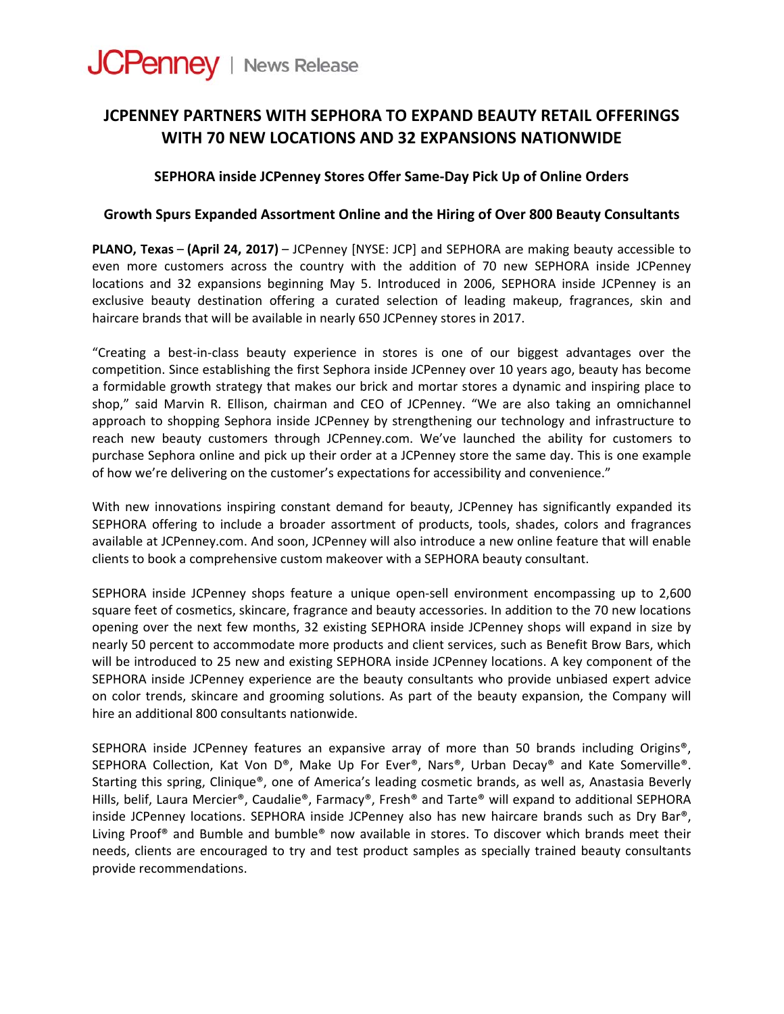

# **JCPENNEY PARTNERS WITH SEPHORA TO EXPAND BEAUTY RETAIL OFFERINGS WITH 70 NEW LOCATIONS AND 32 EXPANSIONS NATIONWIDE**

## **SEPHORA inside JCPenney Stores Offer Same‐Day Pick Up of Online Orders**

### **Growth Spurs Expanded Assortment Online and the Hiring of Over 800 Beauty Consultants**

**PLANO, Texas** – **(April 24, [2017](x-apple-data-detectors://0/))** – JCPenney [NYSE: JCP] and SEPHORA are making beauty accessible to even more customers across the country with the addition of 70 new SEPHORA inside JCPenney locations and 32 expansions beginning May 5. Introduced in 2006, SEPHORA inside JCPenney is an exclusive beauty destination offering a curated selection of leading makeup, fragrances, skin and haircare brands that will be available in nearly 650 JCPenney stores in 2017.

"Creating a best‐in‐class beauty experience in stores is one of our biggest advantages over the competition. Since establishing the first Sephora inside JCPenney over 10 years ago, beauty has become a formidable growth strategy that makes our brick and mortar stores a dynamic and inspiring place to shop," said Marvin R. Ellison, chairman and CEO of JCPenney. "We are also taking an omnichannel approach to shopping Sephora inside JCPenney by strengthening our technology and infrastructure to reach new beauty customers through JCPenney.com. We've launched the ability for customers to purchase Sephora online and pick up their order at a JCPenney store the same day. This is one example of how we're delivering on the customer's expectations for accessibility and convenience."

With new innovations inspiring constant demand for beauty, JCPenney has significantly expanded its SEPHORA offering to include a broader assortment of products, tools, shades, colors and fragrances available at JCPenney.com. And soon, JCPenney will also introduce a new online feature that will enable clients to book a comprehensive custom makeover with a SEPHORA beauty consultant.

SEPHORA inside JCPenney shops feature a unique open-sell environment encompassing up to 2,600 square feet of cosmetics, skincare, fragrance and beauty accessories. In addition to the 70 new locations opening over the next few months, 32 existing SEPHORA inside JCPenney shops will expand in size by nearly 50 percent to accommodate more products and client services, such as Benefit Brow Bars, which will be introduced to 25 new and existing SEPHORA inside JCPenney locations. A key component of the SEPHORA inside JCPenney experience are the beauty consultants who provide unbiased expert advice on color trends, skincare and grooming solutions. As part of the beauty expansion, the Company will hire an additional 800 consultants nationwide.

SEPHORA inside JCPenney features an expansive array of more than 50 brands including Origins®, SEPHORA Collection, Kat Von D®, Make Up For Ever®, Nars®, Urban Decay® and Kate Somerville®. Starting this spring, Clinique®, one of America's leading cosmetic brands, as well as, Anastasia Beverly Hills, belif, Laura Mercier®, Caudalie®, Farmacy®, Fresh® and Tarte® will expand to additional SEPHORA inside JCPenney locations. SEPHORA inside JCPenney also has new haircare brands such as Dry Bar®, Living Proof® and Bumble and bumble® now available in stores. To discover which brands meet their needs, clients are encouraged to try and test product samples as specially trained beauty consultants provide recommendations.